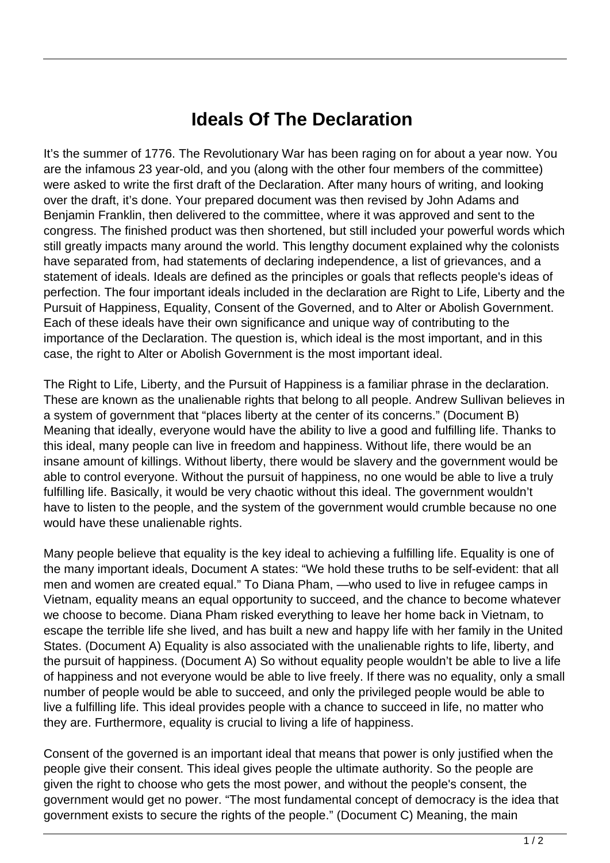## **Ideals Of The Declaration**

It's the summer of 1776. The Revolutionary War has been raging on for about a year now. You are the infamous 23 year-old, and you (along with the other four members of the committee) were asked to write the first draft of the Declaration. After many hours of writing, and looking over the draft, it's done. Your prepared document was then revised by John Adams and Benjamin Franklin, then delivered to the committee, where it was approved and sent to the congress. The finished product was then shortened, but still included your powerful words which still greatly impacts many around the world. This lengthy document explained why the colonists have separated from, had statements of declaring independence, a list of grievances, and a statement of ideals. Ideals are defined as the principles or goals that reflects people's ideas of perfection. The four important ideals included in the declaration are Right to Life, Liberty and the Pursuit of Happiness, Equality, Consent of the Governed, and to Alter or Abolish Government. Each of these ideals have their own significance and unique way of contributing to the importance of the Declaration. The question is, which ideal is the most important, and in this case, the right to Alter or Abolish Government is the most important ideal.

The Right to Life, Liberty, and the Pursuit of Happiness is a familiar phrase in the declaration. These are known as the unalienable rights that belong to all people. Andrew Sullivan believes in a system of government that "places liberty at the center of its concerns." (Document B) Meaning that ideally, everyone would have the ability to live a good and fulfilling life. Thanks to this ideal, many people can live in freedom and happiness. Without life, there would be an insane amount of killings. Without liberty, there would be slavery and the government would be able to control everyone. Without the pursuit of happiness, no one would be able to live a truly fulfilling life. Basically, it would be very chaotic without this ideal. The government wouldn't have to listen to the people, and the system of the government would crumble because no one would have these unalienable rights.

Many people believe that equality is the key ideal to achieving a fulfilling life. Equality is one of the many important ideals, Document A states: "We hold these truths to be self-evident: that all men and women are created equal." To Diana Pham, —who used to live in refugee camps in Vietnam, equality means an equal opportunity to succeed, and the chance to become whatever we choose to become. Diana Pham risked everything to leave her home back in Vietnam, to escape the terrible life she lived, and has built a new and happy life with her family in the United States. (Document A) Equality is also associated with the unalienable rights to life, liberty, and the pursuit of happiness. (Document A) So without equality people wouldn't be able to live a life of happiness and not everyone would be able to live freely. If there was no equality, only a small number of people would be able to succeed, and only the privileged people would be able to live a fulfilling life. This ideal provides people with a chance to succeed in life, no matter who they are. Furthermore, equality is crucial to living a life of happiness.

Consent of the governed is an important ideal that means that power is only justified when the people give their consent. This ideal gives people the ultimate authority. So the people are given the right to choose who gets the most power, and without the people's consent, the government would get no power. "The most fundamental concept of democracy is the idea that government exists to secure the rights of the people." (Document C) Meaning, the main